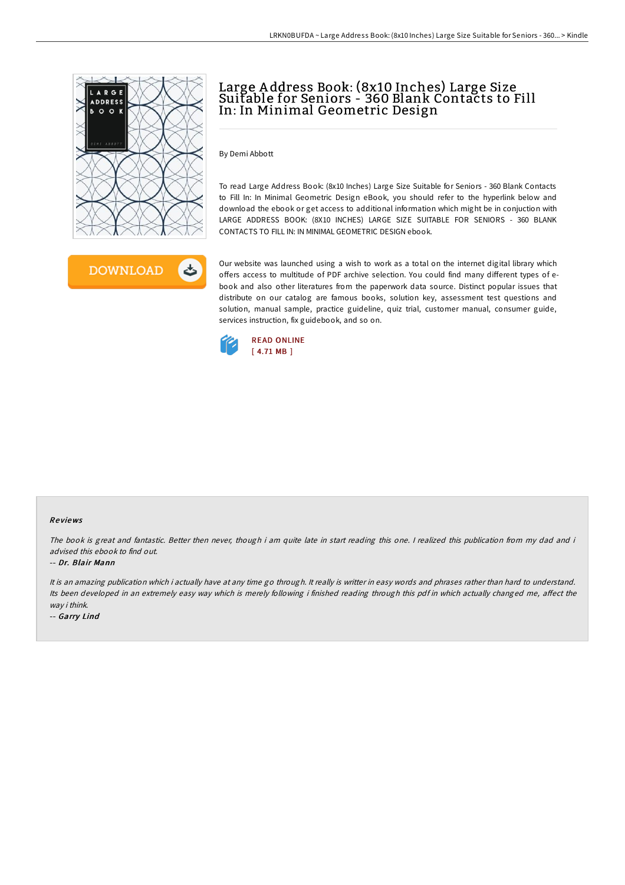



# Large A ddress Book: (8x10 Inches) Large Size Suitable for Seniors - 360 Blank Contacts to Fill In: In Minimal Geometric Design

To read Large Address Book: (8x10 Inches) Large Size Suitable for Seniors - 360 Blank Contacts to Fill In: In Minimal Geometric Design eBook, you should refer to the hyperlink below and download the ebook or get access to additional information which might be in conjuction with LARGE ADDRESS BOOK: (8X10 INCHES) LARGE SIZE SUITABLE FOR SENIORS - 360 BLANK CONTACTS TO FILL IN: IN MINIMAL GEOMETRIC DESIGN ebook.

Our website was launched using a wish to work as a total on the internet digital library which offers access to multitude of PDF archive selection. You could find many different types of ebook and also other literatures from the paperwork data source. Distinct popular issues that distribute on our catalog are famous books, solution key, assessment test questions and solution, manual sample, practice guideline, quiz trial, customer manual, consumer guide, services instruction, fix guidebook, and so on.



By Demi Abbott

#### Re views

The book is great and fantastic. Better then never, though i am quite late in start reading this one. I realized this publication from my dad and i advised this ebook to find out.

#### -- Dr. Blair Mann

It is an amazing publication which i actually have at any time go through. It really is writter in easy words and phrases rather than hard to understand. Its been developed in an extremely easy way which is merely following i finished reading through this pdf in which actually changed me, affect the way i think.

-- Garry Lind